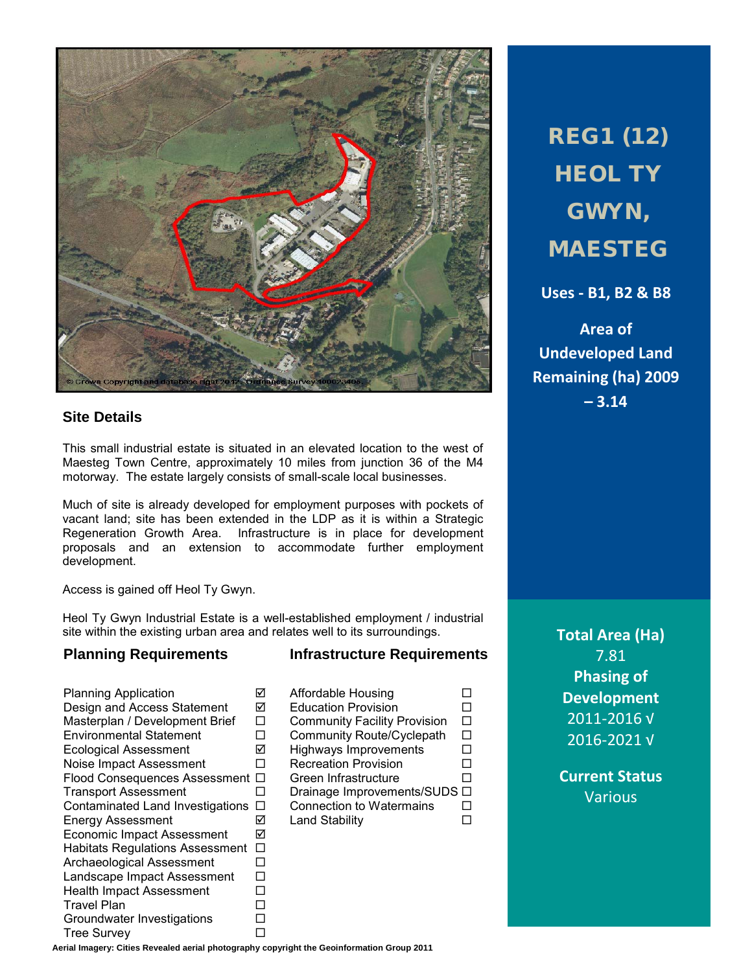

## **Site Details**

This small industrial estate is situated in an elevated location to the west of Maesteg Town Centre, approximately 10 miles from junction 36 of the M4 motorway. The estate largely consists of small-scale local businesses.

Much of site is already developed for employment purposes with pockets of vacant land; site has been extended in the LDP as it is within a Strategic Regeneration Growth Area. Infrastructure is in place for development proposals and an extension to accommodate further employment development.

Access is gained off Heol Ty Gwyn.

Heol Ty Gwyn Industrial Estate is a well-established employment / industrial site within the existing urban area and relates well to its surroundings.

## **Planning Requirements Infrastructure Requirements**

Planning Application Affordable Housing Design and Access Statement Education Provision Environmental Statement  $\Box$  Community Route/Cyclepath  $\Box$ Ecological Assessment  $\Box$  Highways Improvements  $\Box$ <br>
Noise Impact Assessment  $\Box$  Recreation Provision  $\Box$ Noise Impact Assessment Flood Consequences Assessment  $\square$  Green Infrastructure  $\square$ <br>Transport Assessment  $\square$  Drainage Improvements/SUDS  $\square$ Contaminated Land Investigations  $\Box$  Connection to Watermains  $\Box$ Energy Assessment  $\boxdot$  Land Stability  $\Box$ Economic Impact Assessment Habitats Regulations Assessment  $\Box$ Archaeological Assessment  $\square$ <br>Landscape Impact Assessment  $\square$ Landscape Impact Assessment  $\Box$ <br>Health Impact Assessment  $\Box$ Health Impact Assessment  $\square$ <br>Travel Plan  $\square$ Travel Plan<br>Groundwater Investigations □ Groundwater Investigations  $\square$ <br>Tree Survey Tree Survey

Community Facility Provision  $\Box$  Drainage Improvements/SUDS  $\Box$  Connection to Watermains  $\Box$  REG1 (12) **HEOL TY** GWYN, MAESTEG

**Uses - B1, B2 & B8**

**Area of Undeveloped Land Remaining (ha) 2009 – 3.14**

> **Total Area (Ha)** 7.81 **Phasing of Development** 2011-2016 √ 2016-2021 √

**Current Status** Various

**Aerial Imagery: Cities Revealed aerial photography copyright the Geoinformation Group 2011**